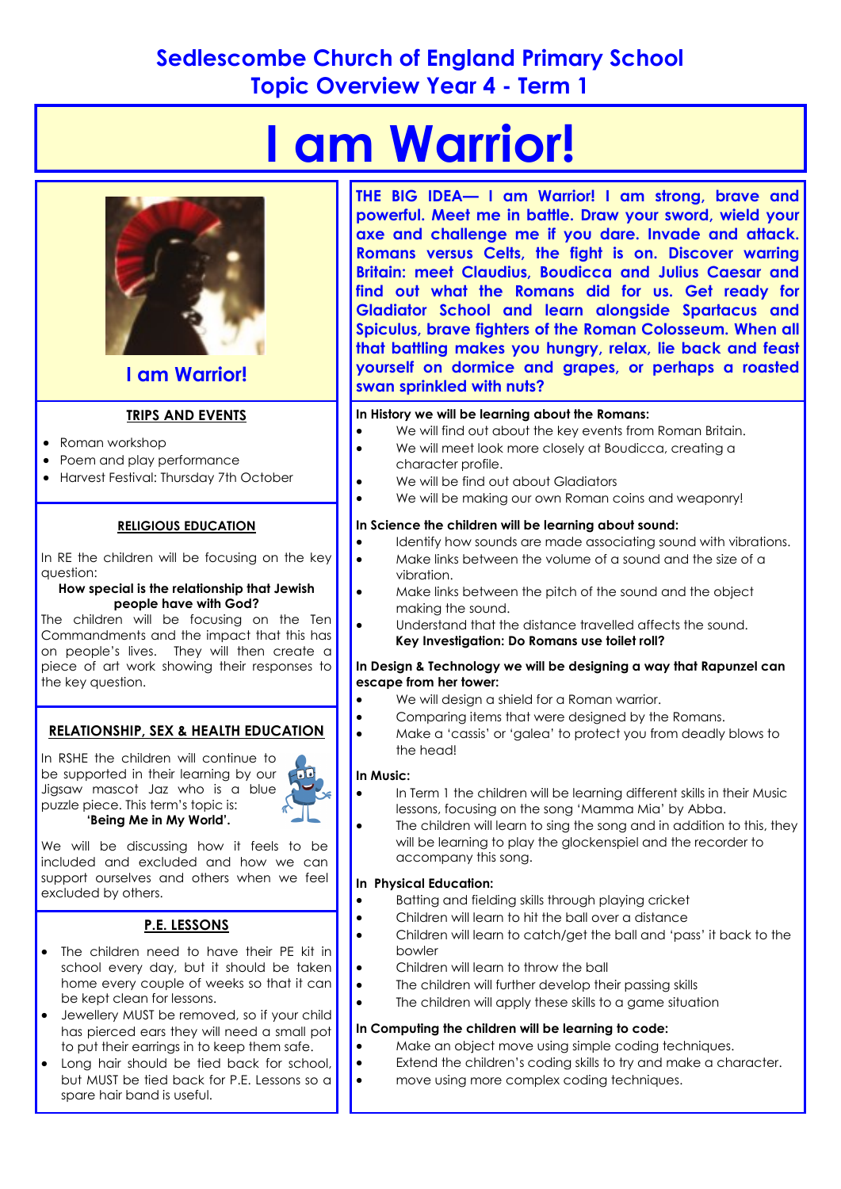# **Sedlescombe Church of England Primary School Topic Overview Year 4 - Term 1**

# **I am Warrior!**



# **I am Warrior!**

## **TRIPS AND EVENTS**

- Roman workshop
- Poem and play performance
- Harvest Festival: Thursday 7th October

#### **RELIGIOUS EDUCATION**

In RE the children will be focusing on the key question:

#### **How special is the relationship that Jewish people have with God?**

The children will be focusing on the Ten Commandments and the impact that this has on people's lives. They will then create a piece of art work showing their responses to the key question.

#### **RELATIONSHIP, SEX & HEALTH EDUCATION**

In RSHE the children will continue to be supported in their learning by our Jigsaw mascot Jaz who is a blue puzzle piece. This term's topic is: **'Being Me in My World'.** 



We will be discussing how it feels to be included and excluded and how we can support ourselves and others when we feel excluded by others.

# **P.E. LESSONS**

- The children need to have their PE kit in school every day, but it should be taken home every couple of weeks so that it can be kept clean for lessons.
- **•** Jewellery MUST be removed, so if your child has pierced ears they will need a small pot to put their earrings in to keep them safe.
- Long hair should be tied back for school, but MUST be tied back for P.E. Lessons so a spare hair band is useful.

**THE BIG IDEA— I am Warrior! I am strong, brave and powerful. Meet me in battle. Draw your sword, wield your axe and challenge me if you dare. Invade and attack. Romans versus Celts, the fight is on. Discover warring Britain: meet Claudius, Boudicca and Julius Caesar and find out what the Romans did for us. Get ready for Gladiator School and learn alongside Spartacus and Spiculus, brave fighters of the Roman Colosseum. When all that battling makes you hungry, relax, lie back and feast yourself on dormice and grapes, or perhaps a roasted swan sprinkled with nuts?** 

#### **In History we will be learning about the Romans:**

- We will find out about the key events from Roman Britain.
- We will meet look more closely at Boudicca, creating a character profile.
- We will be find out about Gladiators
- We will be making our own Roman coins and weaponry!

#### **In Science the children will be learning about sound:**

- Identify how sounds are made associating sound with vibrations.
- Make links between the volume of a sound and the size of a vibration.
- Make links between the pitch of the sound and the object making the sound.
- Understand that the distance travelled affects the sound. **Key Investigation: Do Romans use toilet roll?**

#### **In Design & Technology we will be designing a way that Rapunzel can escape from her tower:**

- We will design a shield for a Roman warrior.
- Comparing items that were designed by the Romans.
	- Make a 'cassis' or 'galea' to protect you from deadly blows to the head!

#### **In Music:**

- In Term 1 the children will be learning different skills in their Music lessons, focusing on the song 'Mamma Mia' by Abba.
- The children will learn to sing the song and in addition to this, they will be learning to play the glockenspiel and the recorder to accompany this song.

#### **In Physical Education:**

- **•** Batting and fielding skills through playing cricket
- Children will learn to hit the ball over a distance
- Children will learn to catch/get the ball and 'pass' it back to the bowler
- Children will learn to throw the ball
- The children will further develop their passing skills
	- The children will apply these skills to a game situation

#### **In Computing the children will be learning to code:**

- Make an object move using simple coding techniques.
- Extend the children's coding skills to try and make a character.
- move using more complex coding techniques.